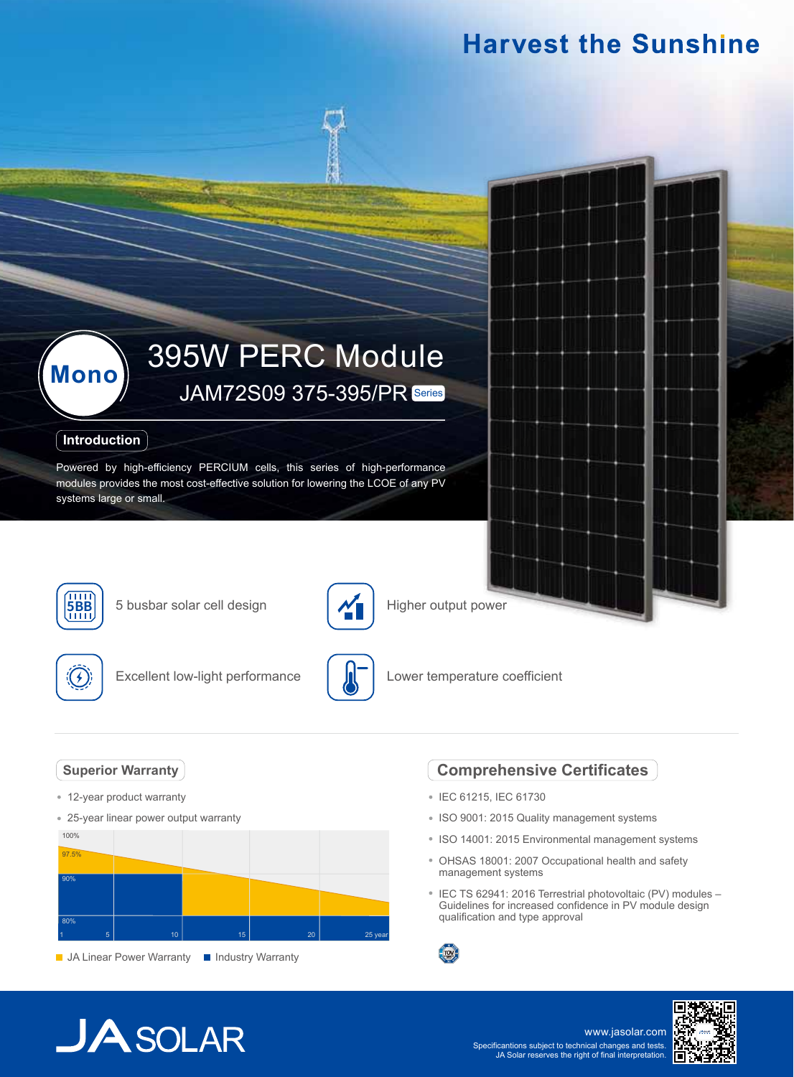## **Harvest the Sunshine**



#### **Introduction**

Powered by high-efficiency PERCIUM cells, this series of high-performance modules provides the most cost-effective solution for lowering the LCOE of any PV systems large or small.



**5BB** 5 busbar solar cell design



Higher output power



Excellent low-light performance



Lower temperature coefficient

### **Superior Warranty**

- 12-year product warranty
- 25-year linear power output warranty



**JA Linear Power Warranty III Industry Warranty** 

### **Comprehensive Certificates**

- IEC 61215, IEC 61730
- ISO 9001: 2015 Quality management systems
- ISO 14001: 2015 Environmental management systems
- OHSAS 18001: 2007 Occupational health and safety management systems
- IEC TS 62941: 2016 Terrestrial photovoltaic (PV) modules -Guidelines for increased confidence in PV module design qualification and type approval



# $JASOLAR$

www.jasolar.com Specificantions subject to technical changes and tests. JA Solar reserves the right of final interpretation.